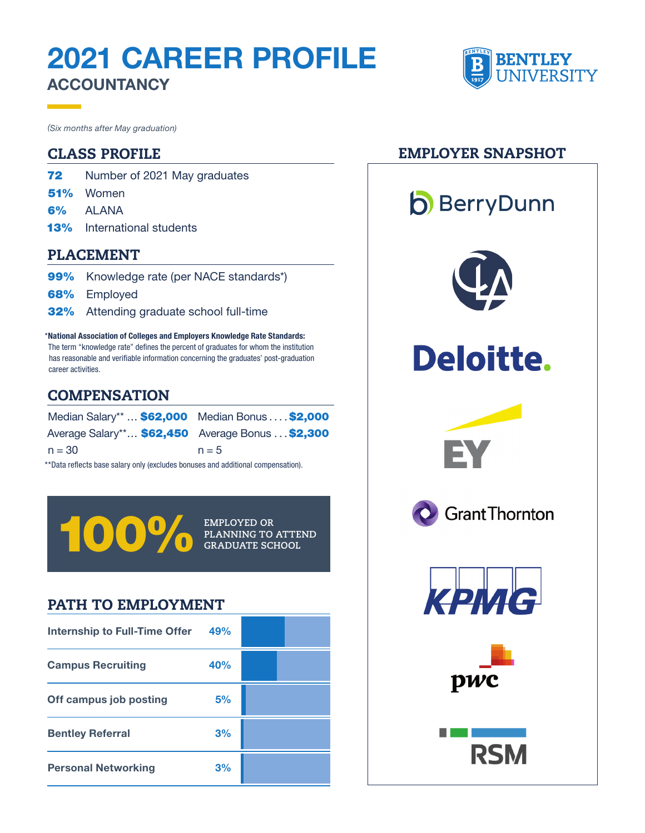# 2021 CAREER PROFILE **ACCOUNTANCY**



- **72** Number of 2021 May graduates
- 51% Women
- 6% ALANA
- 13% International students

#### PLACEMENT

- 99% Knowledge rate (per NACE standards\*)
- **68%** Employed
- 32% Attending graduate school full-time

\* National Association of Colleges and Employers Knowledge Rate Standards: The term "knowledge rate" defines the percent of graduates for whom the institution has reasonable and verifiable information concerning the graduates' post-graduation career activities.

#### **COMPENSATION**

| Median Salary**  \$62,000 Median Bonus \$2,000                                   |         |  |  |  |
|----------------------------------------------------------------------------------|---------|--|--|--|
| Average Salary** \$62,450 Average Bonus  \$2,300                                 |         |  |  |  |
| $n = 30$                                                                         | $n = 5$ |  |  |  |
| **Data reflects base salary only (excludes bonuses and additional compensation). |         |  |  |  |

**PLANNING TO ATTEND GRADUATE SCHOOL** 

**EMPLOYED OR** 

### PATH TO EMPLOYMENT

| <b>Internship to Full-Time Offer</b> | 49% |  |
|--------------------------------------|-----|--|
| <b>Campus Recruiting</b>             | 40% |  |
| Off campus job posting               | 5%  |  |
| <b>Bentley Referral</b>              | 3%  |  |
| <b>Personal Networking</b>           | 3%  |  |

#### CLASS PROFILE EMPLOYER SNAPSHOT